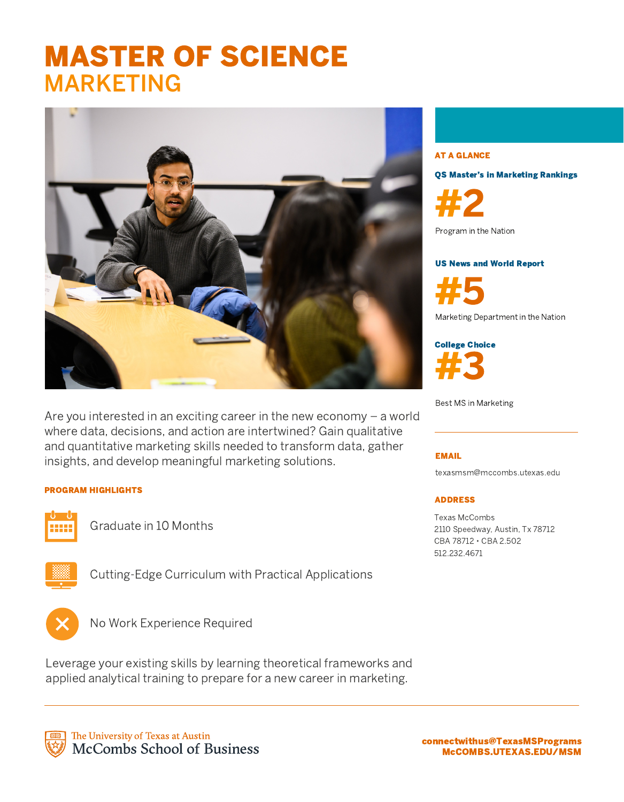## MASTER OF SCIENCE MARKETING



Are you interested in an exciting career in the new economy – a world where data, decisions, and action are intertwined? Gain qualitative and quantitative marketing skills needed to transform data, gather insights, and develop meaningful marketing solutions.

### PROGRAM HIGHLIGHTS



Graduate in 10 Months



Cutting-Edge Curriculum with Practical Applications



No Work Experience Required

Leverage your existing skills by learning theoretical frameworks and applied analytical training to prepare for a new career in marketing.

The University of Texas at Austin **McCombs School of Business** 

### AT A GLANCE

QS Master's in Marketing Rankings

#2

Program in the Nation

### US News and World Report

#5

Marketing Department in the Nation

College Choice

Best MS in Marketing

### EMAIL

texasmsm@mccombs.utexas.edu

### ADDRESS

Texas McCombs 2110 Speedway, Austin, Tx 78712 CBA 78712 • CBA 2.502 512.232.4671

connectwithus@TexasMSPrograms McCOMBS.UTEXAS.EDU/MSM